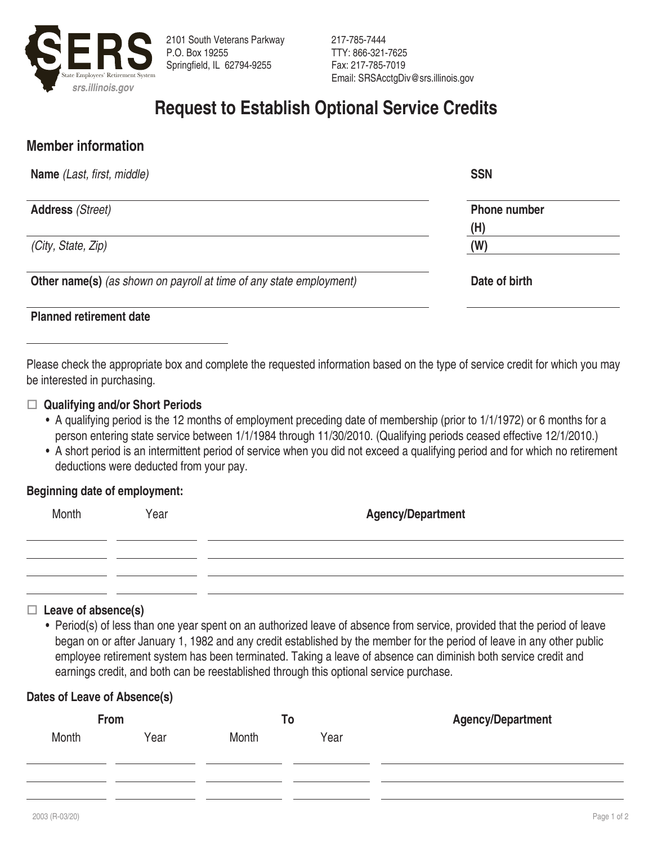

217-785-7444 TTY: 866-321-7625 Fax: 217-785-7019

# **Request to Establish Optional Service Credits**

# **Member information**

| <b>Name</b> (Last, first, middle)                                          | <b>SSN</b>          |
|----------------------------------------------------------------------------|---------------------|
| <b>Address (Street)</b>                                                    | <b>Phone number</b> |
|                                                                            | (H)                 |
| (City, State, Zip)                                                         | (W)                 |
| <b>Other name(s)</b> (as shown on payroll at time of any state employment) | Date of birth       |

### **Planned retirement date**

Please check the appropriate box and complete the requested information based on the type of service credit for which you may be interested in purchasing.

#### □ Qualifying and/or Short Periods

- A qualifying period is the 12 months of employment preceding date of membership (prior to 1/1/1972) or 6 months for a person entering state service between 1/1/1984 through 11/30/2010. (Qualifying periods ceased effective 12/1/2010.)
- A short period is an intermittent period of service when you did not exceed a qualifying period and for which no retirement deductions were deducted from your pay.

#### **Beginning date of employment:**

| Month | Year | <b>Agency/Department</b> |  |
|-------|------|--------------------------|--|
|       |      |                          |  |
|       |      |                          |  |

#### □ Leave of absence(s)

• Period(s) of less than one year spent on an authorized leave of absence from service, provided that the period of leave began on or after January 1, 1982 and any credit established by the member for the period of leave in any other public employee retirement system has been terminated. Taking a leave of absence can diminish both service credit and earnings credit, and both can be reestablished through this optional service purchase.

#### **Dates of Leave of Absence(s)**

|       | From | To    |      | <b>Agency/Department</b> |
|-------|------|-------|------|--------------------------|
| Month | Year | Month | Year |                          |
|       |      |       |      |                          |
|       |      |       |      |                          |
|       |      |       |      |                          |
|       |      |       |      |                          |